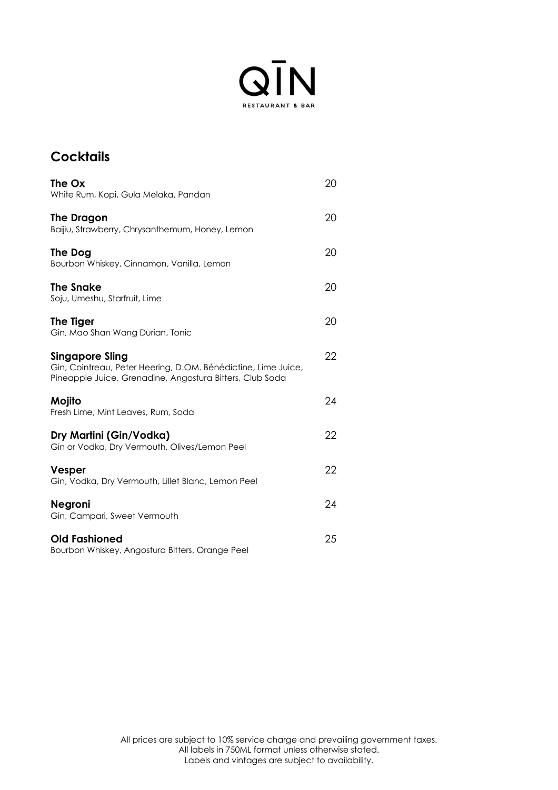

## **Cocktails**

| The Ox<br>White Rum, Kopi, Gula Melaka, Pandan                                                                                               | 20 |
|----------------------------------------------------------------------------------------------------------------------------------------------|----|
| The Dragon<br>Baijiu, Strawberry, Chrysanthemum, Honey, Lemon                                                                                | 20 |
| The Dog<br>Bourbon Whiskey, Cinnamon, Vanilla, Lemon                                                                                         | 20 |
| The Snake<br>Soju, Umeshu, Starfruit, Lime                                                                                                   | 20 |
| The Tiger<br>Gin, Mao Shan Wang Durian, Tonic                                                                                                | 20 |
| Singapore Sling<br>Gin, Cointreau, Peter Heering, D.OM. Bénédictine, Lime Juice,<br>Pineapple Juice, Grenadine, Angostura Bitters, Club Soda | 22 |
| Mojito<br>Fresh Lime, Mint Leaves, Rum, Soda                                                                                                 | 24 |
| Dry Martini (Gin/Vodka)<br>Gin or Vodka, Dry Vermouth, Olives/Lemon Peel                                                                     | 22 |
| Vesper<br>Gin, Vodka, Dry Vermouth, Lillet Blanc, Lemon Peel                                                                                 | 22 |
| Negroni<br>Gin, Campari, Sweet Vermouth                                                                                                      | 24 |
| <b>Old Fashioned</b><br>Bourbon Whiskey, Angostura Bitters, Orange Peel                                                                      | 25 |
|                                                                                                                                              |    |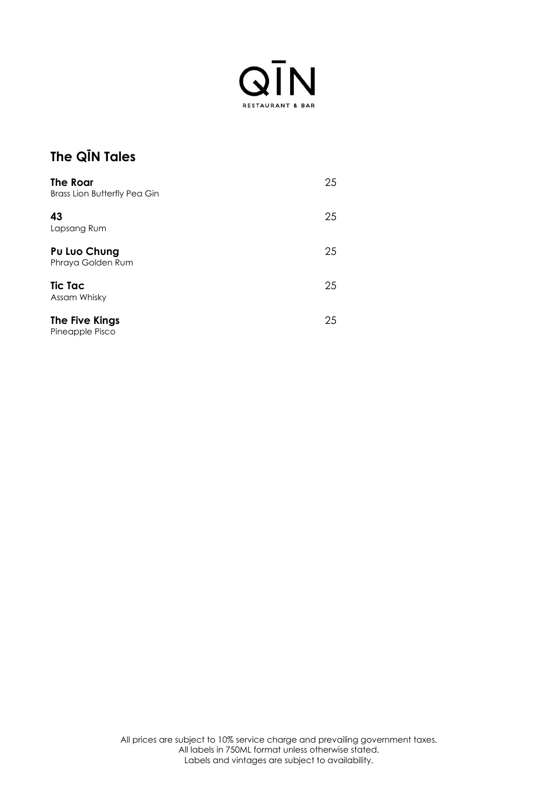

## **The QĪN Tales**

| The Roar<br><b>Brass Lion Butterfly Pea Gin</b> | 25 |
|-------------------------------------------------|----|
| 43<br>Lapsang Rum                               | 25 |
| Pu Luo Chung<br>Phraya Golden Rum               | 25 |
| <b>Tic Tac</b><br>Assam Whisky                  | 25 |
| The Five Kings<br>Pineapple Pisco               | 25 |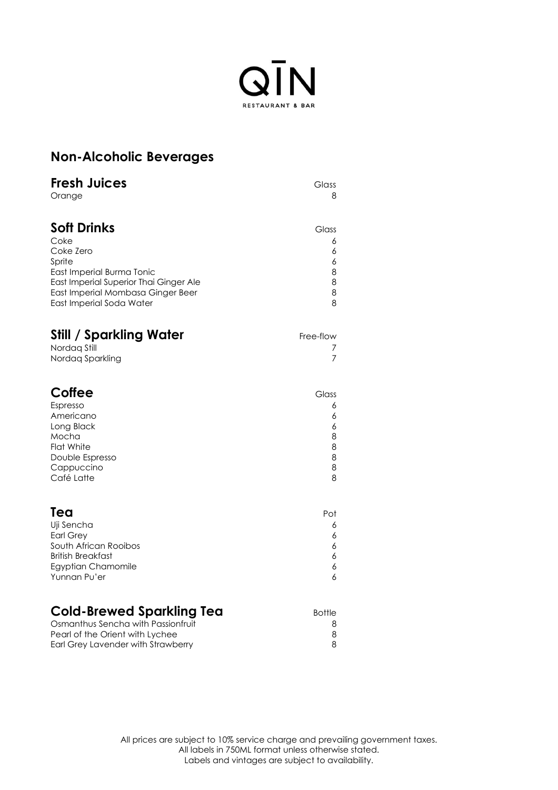

| <b>Non-Alcoholic Beverages</b> |  |
|--------------------------------|--|
|--------------------------------|--|

| <b>Fresh Juices</b>                    | Glass     |
|----------------------------------------|-----------|
| Orange                                 | 8         |
| <b>Soft Drinks</b>                     | Glass     |
| Coke                                   | 6         |
| Coke Zero                              | 6         |
| Sprite                                 | 6         |
| East Imperial Burma Tonic              | 8         |
| East Imperial Superior Thai Ginger Ale | 8         |
| East Imperial Mombasa Ginger Beer      | 8         |
| East Imperial Soda Water               | 8         |
| <b>Still / Sparkling Water</b>         | Free-flow |
| Nordag Still                           | 7         |
| Nordag Sparkling                       | 7         |
| <b>Coffee</b>                          | Glass     |
| Espresso                               | 6         |
| Americano                              | 6         |
| Long Black                             | 6         |
| Mocha                                  | 8         |
| <b>Flat White</b>                      | 8         |
| Double Espresso                        | 8         |
| Cappuccino                             | 8         |
| Café Latte                             | 8         |
| Tea                                    | Pot       |
| Uji Sencha                             | 6         |
| <b>Earl Grey</b>                       | 6         |
| South African Rooibos                  | 6         |
| <b>British Breakfast</b>               | 6         |
| Egyptian Chamomile                     | 6         |
| Yunnan Pu'er                           | 6         |

| <b>Cold-Brewed Sparkling Tea</b>   | Bottle |
|------------------------------------|--------|
| Osmanthus Sencha with Passionfruit |        |
| Pearl of the Orient with Lychee    |        |
| Earl Grey Lavender with Strawberry |        |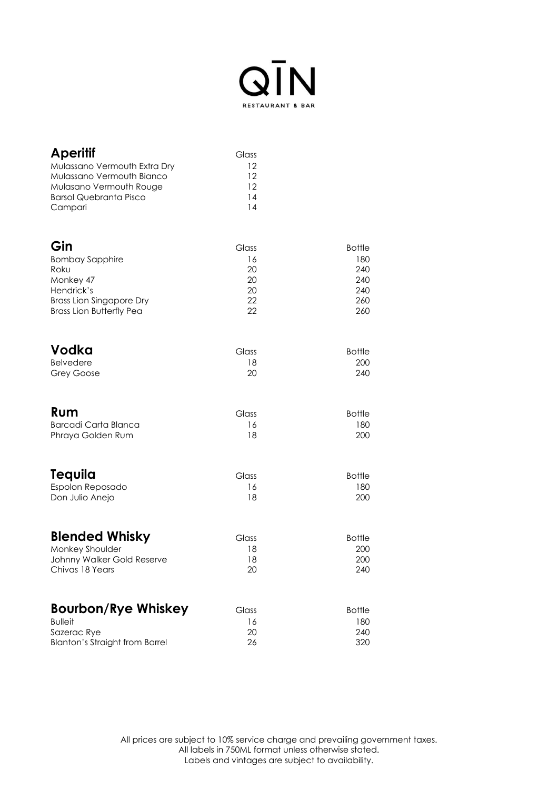

| <b>Aperitif</b><br>Mulassano Vermouth Extra Dry<br>Mulassano Vermouth Bianco<br>Mulasano Vermouth Rouge | Glass<br>12<br>12<br>12 |               |
|---------------------------------------------------------------------------------------------------------|-------------------------|---------------|
| <b>Barsol Quebranta Pisco</b><br>Campari                                                                | 14<br>14                |               |
| Gin                                                                                                     | Glass                   | <b>Bottle</b> |
| <b>Bombay Sapphire</b>                                                                                  | 16                      | 180           |
| Roku                                                                                                    | 20                      | 240           |
| Monkey 47                                                                                               | 20                      | 240           |
| Hendrick's                                                                                              | 20                      | 240           |
| <b>Brass Lion Singapore Dry</b>                                                                         | 22                      | 260           |
| <b>Brass Lion Butterfly Pea</b>                                                                         | 22                      | 260           |
| Vodka                                                                                                   | Glass                   | <b>Bottle</b> |
| <b>Belvedere</b>                                                                                        | 18                      | 200           |
| <b>Grey Goose</b>                                                                                       | 20                      | 240           |
| Rum                                                                                                     | Glass                   | <b>Bottle</b> |
| <b>Barcadi Carta Blanca</b>                                                                             | 16                      | 180           |
| Phraya Golden Rum                                                                                       | 18                      | 200           |
| Tequila                                                                                                 | Glass                   | <b>Bottle</b> |
| Espolon Reposado                                                                                        | 16                      | 180           |
| Don Julio Anejo                                                                                         | 18                      | 200           |
| <b>Blended Whisky</b>                                                                                   | Glass                   | <b>Bottle</b> |
| Monkey Shoulder                                                                                         | 18                      | 200           |
| Johnny Walker Gold Reserve                                                                              | 18                      | 200           |
| Chivas 18 Years                                                                                         | 20                      | 240           |
| <b>Bourbon/Rye Whiskey</b>                                                                              | Glass                   | <b>Bottle</b> |
| <b>Bulleit</b>                                                                                          | 16                      | 180           |
| Sazerac Rye                                                                                             | 20                      | 240           |
| <b>Blanton's Straight from Barrel</b>                                                                   | 26                      | 320           |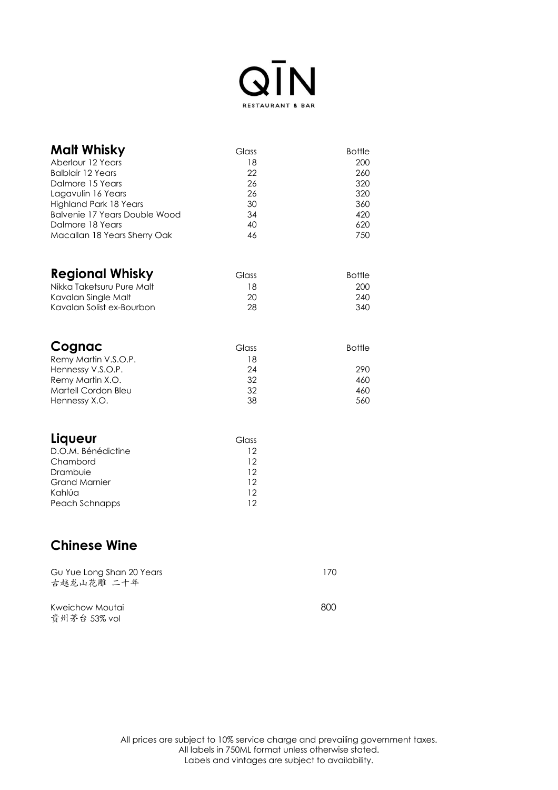

| Malt Whisky<br>Aberlour 12 Years<br><b>Balblair 12 Years</b><br>Dalmore 15 Years<br>Lagavulin 16 Years<br>Highland Park 18 Years<br><b>Balvenie 17 Years Double Wood</b><br>Dalmore 18 Years<br>Macallan 18 Years Sherry Oak | Glass<br>18<br>22<br>26<br>26<br>30<br>34<br>40<br>46 | <b>Bottle</b><br>200<br>260<br>320<br>320<br>360<br>420<br>620<br>750 |
|------------------------------------------------------------------------------------------------------------------------------------------------------------------------------------------------------------------------------|-------------------------------------------------------|-----------------------------------------------------------------------|
| <b>Regional Whisky</b><br>Nikka Taketsuru Pure Malt<br>Kavalan Single Malt<br>Kavalan Solist ex-Bourbon                                                                                                                      | Glass<br>18<br>20<br>28                               | <b>Bottle</b><br>200<br>240<br>340                                    |
| Cognac<br>Remy Martin V.S.O.P.<br>Hennessy V.S.O.P.<br>Remy Martin X.O.<br>Martell Cordon Bleu<br>Hennessy X.O.                                                                                                              | Glass<br>18<br>24<br>32<br>32<br>38                   | <b>Bottle</b><br>290<br>460<br>460<br>560                             |
| Liqueur<br>D.O.M. Bénédictine<br>Chambord<br>Drambuie<br><b>Grand Marnier</b><br>Kahlúa<br>Peach Schnapps                                                                                                                    | Glass<br>12<br>12<br>12<br>12<br>12<br>12             |                                                                       |
| <b>Chinese Wine</b>                                                                                                                                                                                                          |                                                       |                                                                       |
| Gu Yue Long Shan 20 Years<br>古越龙山花雕 二十年                                                                                                                                                                                      |                                                       | 170                                                                   |
| Kweichow Moutai<br>贵州茅台 53% vol                                                                                                                                                                                              |                                                       | 800                                                                   |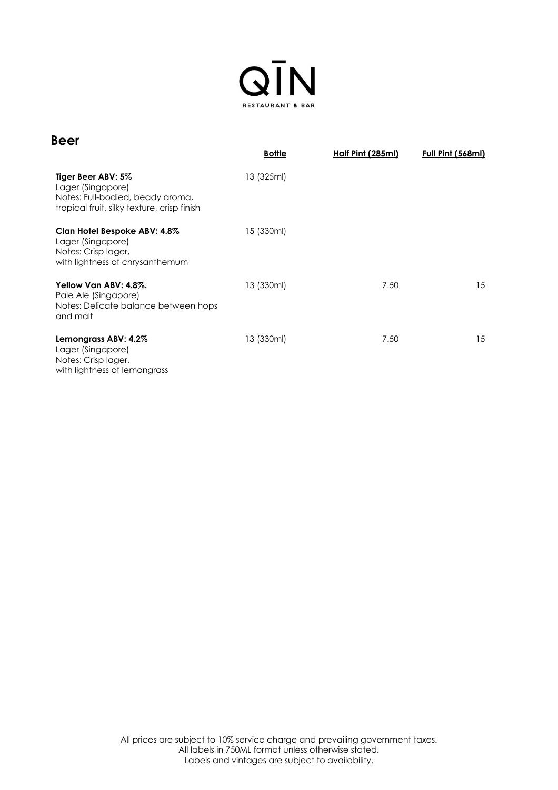

| <b>Beer</b>                                                                                                                | <b>Bottle</b> | Half Pint (285ml) | Full Pint (568ml) |
|----------------------------------------------------------------------------------------------------------------------------|---------------|-------------------|-------------------|
| Tiger Beer ABV: 5%<br>Lager (Singapore)<br>Notes: Full-bodied, beady aroma,<br>tropical fruit, silky texture, crisp finish | 13 (325ml)    |                   |                   |
| Clan Hotel Bespoke ABV: 4.8%<br>Lager (Singapore)<br>Notes: Crisp lager,<br>with lightness of chrysanthemum                | 15 (330ml)    |                   |                   |
| Yellow Van ABV: 4.8%.<br>Pale Ale (Singapore)<br>Notes: Delicate balance between hops<br>and malt                          | 13 (330ml)    | 7.50              | 15                |
| Lemongrass ABV: 4.2%<br>Lager (Singapore)<br>Notes: Crisp lager,<br>with lightness of lemongrass                           | 13 (330ml)    | 7.50              | 15                |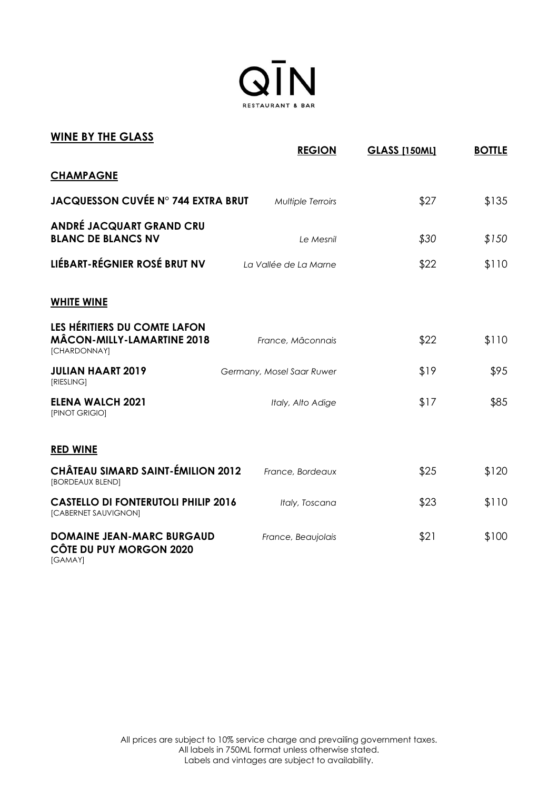

| <b>WINE BY THE GLASS</b>                                                          | <b>REGION</b>             | <b>GLASS [150ML]</b> | <b>BOTTLE</b> |
|-----------------------------------------------------------------------------------|---------------------------|----------------------|---------------|
| <b>CHAMPAGNE</b>                                                                  |                           |                      |               |
| <b>JACQUESSON CUVÉE N° 744 EXTRA BRUT</b>                                         | Multiple Terroirs         | \$27                 | \$135         |
| <b>ANDRÉ JACQUART GRAND CRU</b><br><b>BLANC DE BLANCS NV</b>                      | Le Mesnil                 | \$30                 | \$150         |
| LIÉBART-RÉGNIER ROSÉ BRUT NV                                                      | La Vallée de La Marne     | \$22                 | \$110         |
| <b>WHITE WINE</b>                                                                 |                           |                      |               |
| LES HÉRITIERS DU COMTE LAFON<br><b>MÂCON-MILLY-LAMARTINE 2018</b><br>[CHARDONNAY] | France, Mâconnais         | \$22                 | \$110         |
| <b>JULIAN HAART 2019</b><br>[RIESLING]                                            | Germany, Mosel Saar Ruwer | \$19                 | \$95          |
| <b>ELENA WALCH 2021</b><br>[PINOT GRIGIO]                                         | Italy, Alto Adige         | \$17                 | \$85          |
| <b>RED WINE</b>                                                                   |                           |                      |               |
| <b>CHÂTEAU SIMARD SAINT-ÉMILION 2012</b><br>[BORDEAUX BLEND]                      | France, Bordeaux          | \$25                 | \$120         |
| <b>CASTELLO DI FONTERUTOLI PHILIP 2016</b><br>[CABERNET SAUVIGNON]                | Italy, Toscana            | \$23                 | \$110         |
| <b>DOMAINE JEAN-MARC BURGAUD</b><br>CÔTE DU PUY MORGON 2020                       | France, Beaujolais        | \$21                 | \$100         |

[GAMAY]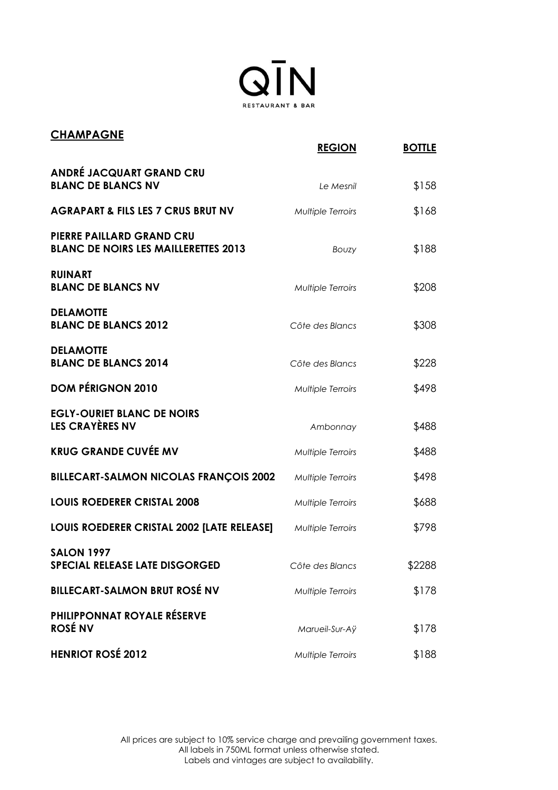

| <b>CHAMPAGNE</b>                                                                |                          |               |
|---------------------------------------------------------------------------------|--------------------------|---------------|
|                                                                                 | <b>REGION</b>            | <b>BOTTLE</b> |
| <b>ANDRÉ JACQUART GRAND CRU</b>                                                 |                          |               |
| <b>BLANC DE BLANCS NV</b>                                                       | Le Mesnil                | \$158         |
| <b>AGRAPART &amp; FILS LES 7 CRUS BRUT NV</b>                                   | Multiple Terroirs        | \$168         |
| <b>PIERRE PAILLARD GRAND CRU</b><br><b>BLANC DE NOIRS LES MAILLERETTES 2013</b> | Bouzy                    | \$188         |
| <b>RUINART</b><br><b>BLANC DE BLANCS NV</b>                                     | Multiple Terroirs        | \$208         |
| <b>DELAMOTTE</b><br><b>BLANC DE BLANCS 2012</b>                                 | Côte des Blancs          | \$308         |
| <b>DELAMOTTE</b><br><b>BLANC DE BLANCS 2014</b>                                 | Côte des Blancs          | \$228         |
| <b>DOM PÉRIGNON 2010</b>                                                        | Multiple Terroirs        | \$498         |
| <b>EGLY-OURIET BLANC DE NOIRS</b>                                               |                          |               |
| <b>LES CRAYÈRES NV</b>                                                          | Ambonnay                 | \$488         |
| <b>KRUG GRANDE CUVÉE MV</b>                                                     | <b>Multiple Terroirs</b> | \$488         |
| <b>BILLECART-SALMON NICOLAS FRANÇOIS 2002</b>                                   | Multiple Terroirs        | \$498         |
| <b>LOUIS ROEDERER CRISTAL 2008</b>                                              | <b>Multiple Terroirs</b> | \$688         |
| LOUIS ROEDERER CRISTAL 2002 [LATE RELEASE]                                      | Multiple Terroirs        | \$798         |
| <b>SALON 1997</b><br>SPECIAL RELEASE LATE DISGORGED                             | Côte des Blancs          | \$2288        |
| <b>BILLECART-SALMON BRUT ROSÉ NV</b>                                            | <b>Multiple Terroirs</b> | \$178         |
| <b>PHILIPPONNAT ROYALE RÉSERVE</b><br><b>ROSÉ NV</b>                            | Marueil-Sur-Aÿ           | \$178         |
| <b>HENRIOT ROSÉ 2012</b>                                                        | Multiple Terroirs        | \$188         |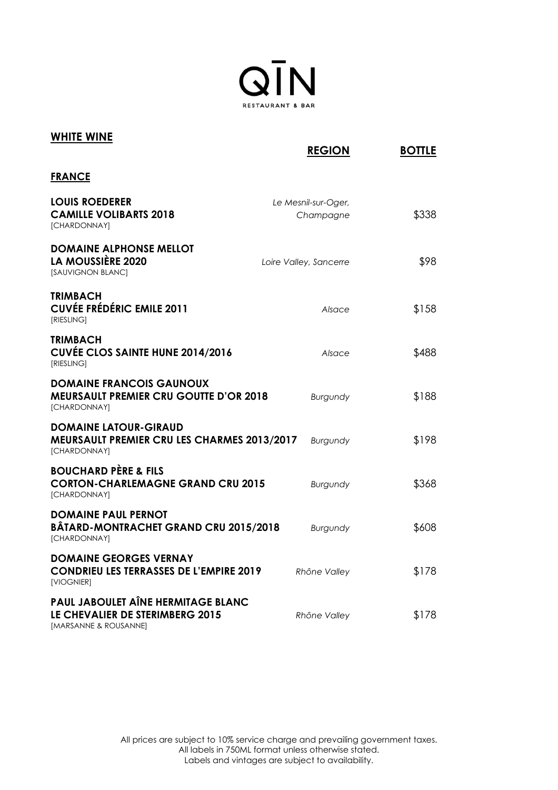

| <b>WHITE WINE</b>                                                                                  | <b>REGION</b>                    | <b>BOTTLE</b> |
|----------------------------------------------------------------------------------------------------|----------------------------------|---------------|
| <b>FRANCE</b>                                                                                      |                                  |               |
| <b>LOUIS ROEDERER</b><br><b>CAMILLE VOLIBARTS 2018</b><br>[CHARDONNAY]                             | Le Mesnil-sur-Oger,<br>Champagne | \$338         |
| <b>DOMAINE ALPHONSE MELLOT</b><br>LA MOUSSIÈRE 2020<br>[SAUVIGNON BLANC]                           | Loire Valley, Sancerre           | \$98          |
| <b>TRIMBACH</b><br><b>CUVÉE FRÉDÉRIC EMILE 2011</b><br>[RIESLING]                                  | Alsace                           | \$158         |
| <b>TRIMBACH</b><br><b>CUVÉE CLOS SAINTE HUNE 2014/2016</b><br><b>IRIESLING1</b>                    | Alsace                           | \$488         |
| <b>DOMAINE FRANCOIS GAUNOUX</b><br><b>MEURSAULT PREMIER CRU GOUTTE D'OR 2018</b><br>[CHARDONNAY]   | Burgundy                         | \$188         |
| <b>DOMAINE LATOUR-GIRAUD</b><br><b>MEURSAULT PREMIER CRU LES CHARMES 2013/2017</b><br>[CHARDONNAY] | Burgundy                         | \$198         |
| <b>BOUCHARD PÈRE &amp; FILS</b><br><b>CORTON-CHARLEMAGNE GRAND CRU 2015</b><br>[CHARDONNAY]        | Burgundy                         | \$368         |
| <b>DOMAINE PAUL PERNOT</b><br><b>BÂTARD-MONTRACHET GRAND CRU 2015/2018</b><br>[CHARDONNAY]         | <b>Burgundy</b>                  | \$608         |
| <b>DOMAINE GEORGES VERNAY</b><br><b>CONDRIEU LES TERRASSES DE L'EMPIRE 2019</b><br>[VIOGNIER]      | Rhône Valley                     | \$178         |
| PAUL JABOULET AÎNE HERMITAGE BLANC<br>LE CHEVALIER DE STERIMBERG 2015<br>[MARSANNE & ROUSANNE]     | Rhône Valley                     | \$178         |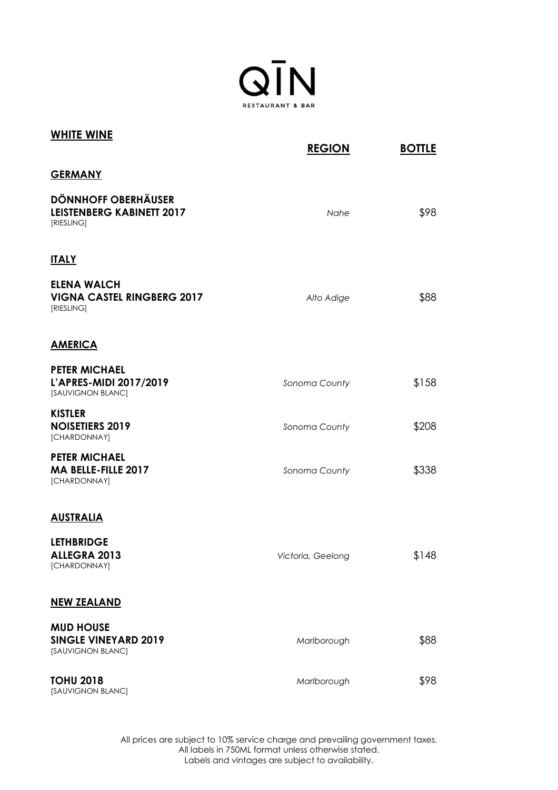

| <b>WHITE WINE</b>                                                            | <b>REGION</b>     | <b>BOTTLE</b> |
|------------------------------------------------------------------------------|-------------------|---------------|
| <b>GERMANY</b>                                                               |                   |               |
| <b>DÖNNHOFF OBERHÄUSER</b><br><b>LEISTENBERG KABINETT 2017</b><br>[RIESLING] | Nahe              | \$98          |
| <b>ITALY</b>                                                                 |                   |               |
| <b>ELENA WALCH</b><br><b>VIGNA CASTEL RINGBERG 2017</b><br>[RIESLING]        | Alto Adige        | \$88          |
| <b>AMERICA</b>                                                               |                   |               |
| <b>PETER MICHAEL</b><br>L'APRES-MIDI 2017/2019<br>[SAUVIGNON BLANC]          | Sonoma County     | \$158         |
| <b>KISTLER</b><br><b>NOISETIERS 2019</b><br>[CHARDONNAY]                     | Sonoma County     | \$208         |
| <b>PETER MICHAEL</b><br>MA BELLE-FILLE 2017<br>[CHARDONNAY]                  | Sonoma County     | \$338         |
| <b>AUSTRALIA</b>                                                             |                   |               |
| <b>LETHBRIDGE</b><br>ALLEGRA 2013<br>[CHARDONNAY]                            | Victoria, Geelong | \$148         |
| <b>NEW ZEALAND</b>                                                           |                   |               |
| <b>MUD HOUSE</b><br><b>SINGLE VINEYARD 2019</b><br>[SAUVIGNON BLANC]         | Marlborough       | \$88          |
| <b>TOHU 2018</b><br>[SAUVIGNON BLANC]                                        | Marlborough       | \$98          |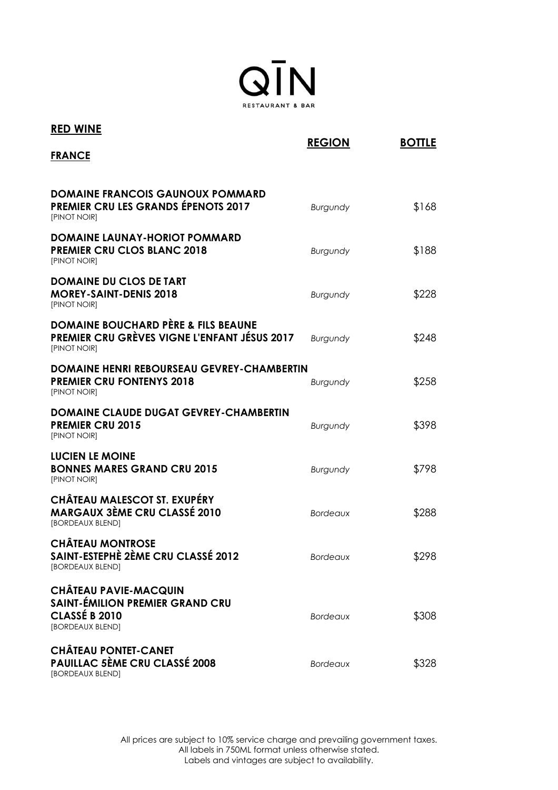

| <b>RED WINE</b>                                                                                                       | <b>REGION</b>   | <b>BOTTLE</b> |
|-----------------------------------------------------------------------------------------------------------------------|-----------------|---------------|
| <b>FRANCE</b>                                                                                                         |                 |               |
| <b>DOMAINE FRANCOIS GAUNOUX POMMARD</b><br><b>PREMIER CRU LES GRANDS ÉPENOTS 2017</b><br>[PINOT NOIR]                 | Burgundy        | \$168         |
| DOMAINE LAUNAY-HORIOT POMMARD<br><b>PREMIER CRU CLOS BLANC 2018</b><br>[PINOT NOIR]                                   | Burgundy        | \$188         |
| <b>DOMAINE DU CLOS DE TART</b><br><b>MOREY-SAINT-DENIS 2018</b><br>[PINOT NOIR]                                       | <b>Burgundy</b> | \$228         |
| <b>DOMAINE BOUCHARD PÈRE &amp; FILS BEAUNE</b><br><b>PREMIER CRU GRÈVES VIGNE L'ENFANT JÉSUS 2017</b><br>[PINOT NOIR] | Burgundy        | \$248         |
| <b>DOMAINE HENRI REBOURSEAU GEVREY-CHAMBERTIN</b><br><b>PREMIER CRU FONTENYS 2018</b><br>[PINOT NOIR]                 | <b>Burgundy</b> | \$258         |
| <b>DOMAINE CLAUDE DUGAT GEVREY-CHAMBERTIN</b><br><b>PREMIER CRU 2015</b><br>[PINOT NOIR]                              | Burgundy        | \$398         |
| LUCIEN LE MOINE<br><b>BONNES MARES GRAND CRU 2015</b><br>[PINOT NOIR]                                                 | <b>Burgundy</b> | \$798         |
| <b>CHÂTEAU MALESCOT ST. EXUPÉRY</b><br><b>MARGAUX 3ÈME CRU CLASSÉ 2010</b><br>[BORDEAUX BLEND]                        | <b>Bordeaux</b> | \$288         |
| <b>CHÂTEAU MONTROSE</b><br>SAINT-ESTEPHÈ 2ÈME CRU CLASSÉ 2012<br>[BORDEAUX BLEND]                                     | <b>Bordeaux</b> | \$298         |
| <b>CHÂTEAU PAVIE-MACQUIN</b><br><b>SAINT-ÉMILION PREMIER GRAND CRU</b><br>CLASSÉ B 2010<br>[BORDEAUX BLEND]           | <b>Bordeaux</b> | \$308         |
| <b>CHÂTEAU PONTET-CANET</b><br><b>PAUILLAC 5ÈME CRU CLASSÉ 2008</b><br>[BORDEAUX BLEND]                               | <b>Bordeaux</b> | \$328         |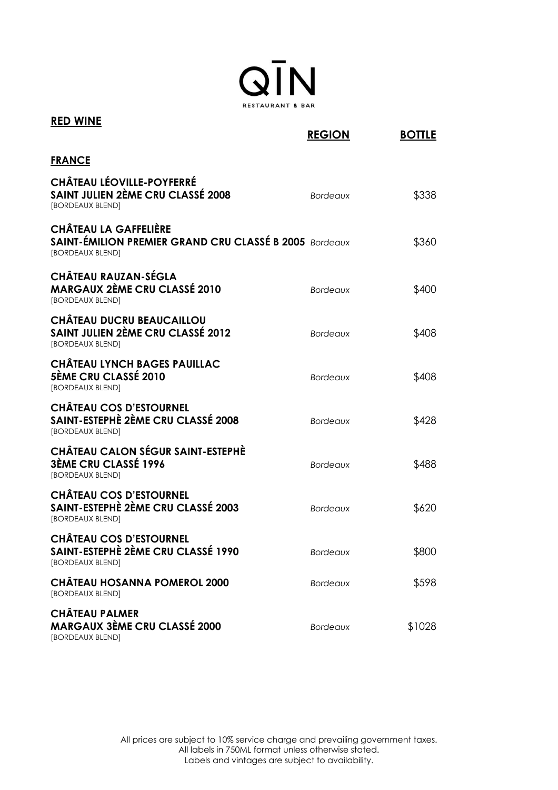

| <b>RED WINE</b>                                                                                                   | <b>REGION</b>   | <b>BOTTLE</b> |
|-------------------------------------------------------------------------------------------------------------------|-----------------|---------------|
| <b>FRANCE</b>                                                                                                     |                 |               |
| <b>CHÂTEAU LÉOVILLE-POYFERRÉ</b><br><b>SAINT JULIEN 2ÈME CRU CLASSÉ 2008</b><br>[BORDEAUX BLEND]                  | <b>Bordeaux</b> | \$338         |
| <b>CHÂTEAU LA GAFFELIÈRE</b><br><b>SAINT-ÉMILION PREMIER GRAND CRU CLASSÉ B 2005 Bordeaux</b><br>[BORDEAUX BLEND] |                 | \$360         |
| <b>CHÂTEAU RAUZAN-SÉGLA</b><br><b>MARGAUX 2ÈME CRU CLASSÉ 2010</b><br>[BORDEAUX BLEND]                            | <b>Bordeaux</b> | \$400         |
| <b>CHÂTEAU DUCRU BEAUCAILLOU</b><br><b>SAINT JULIEN 2ÈME CRU CLASSÉ 2012</b><br>[BORDEAUX BLEND]                  | <b>Bordeaux</b> | \$408         |
| <b>CHÂTEAU LYNCH BAGES PAUILLAC</b><br><b>5ÈME CRU CLASSÉ 2010</b><br>[BORDEAUX BLEND]                            | <b>Bordeaux</b> | \$408         |
| <b>CHÂTEAU COS D'ESTOURNEL</b><br>SAINT-ESTEPHÈ 2ÈME CRU CLASSÉ 2008<br>[BORDEAUX BLEND]                          | <b>Bordeaux</b> | \$428         |
| <b>CHÂTEAU CALON SÉGUR SAINT-ESTEPHÈ</b><br><b>3ÈME CRU CLASSÉ 1996</b><br>[BORDEAUX BLEND]                       | <b>Bordeaux</b> | \$488         |
| <b>CHÂTEAU COS D'ESTOURNEL</b><br>SAINT-ESTEPHÈ 2ÈME CRU CLASSÉ 2003<br>[BORDEAUX BLEND]                          | <b>Bordeaux</b> | \$620         |
| <b>CHÂTEAU COS D'ESTOURNEL</b><br>SAINT-ESTEPHÈ 2ÈME CRU CLASSÉ 1990<br>[BORDEAUX BLEND]                          | <b>Bordeaux</b> | \$800         |
| <b>CHÂTEAU HOSANNA POMEROL 2000</b><br>[BORDEAUX BLEND]                                                           | <b>Bordeaux</b> | \$598         |
| <b>CHÂTEAU PALMER</b><br><b>MARGAUX 3ÈME CRU CLASSÉ 2000</b><br>[BORDEAUX BLEND]                                  | <b>Bordeaux</b> | \$1028        |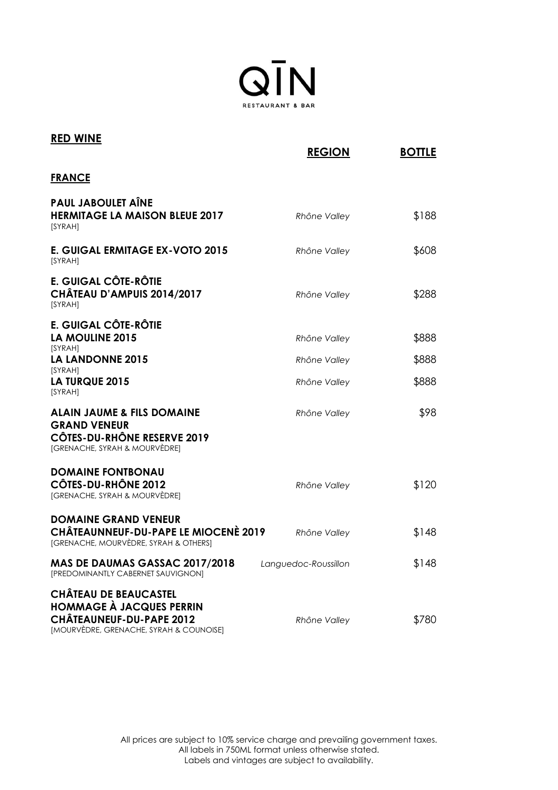

| <b>RED WINE</b>                                                                                                                               | <b>REGION</b>        | <b>BOTTLE</b> |
|-----------------------------------------------------------------------------------------------------------------------------------------------|----------------------|---------------|
| <b>FRANCE</b>                                                                                                                                 |                      |               |
| <b>PAUL JABOULET AINE</b>                                                                                                                     |                      |               |
| <b>HERMITAGE LA MAISON BLEUE 2017</b><br>[SYRAH]                                                                                              | Rhône Valley         | \$188         |
| E. GUIGAL ERMITAGE EX-VOTO 2015<br>[SYRAH]                                                                                                    | Rhône Valley         | \$608         |
| E. GUIGAL CÔTE-RÔTIE<br>CHÂTEAU D'AMPUIS 2014/2017<br>[SYRAH]                                                                                 | Rhône Valley         | \$288         |
| E. GUIGAL CÔTE-RÔTIE                                                                                                                          |                      |               |
| <b>LA MOULINE 2015</b><br>[SYRAH]                                                                                                             | Rhône Valley         | \$888         |
| <b>LA LANDONNE 2015</b><br>[SYRAH]                                                                                                            | Rhône Valley         | \$888         |
| <b>LA TURQUE 2015</b><br>[SYRAH]                                                                                                              | Rhône Valley         | \$888         |
| <b>ALAIN JAUME &amp; FILS DOMAINE</b><br><b>GRAND VENEUR</b><br><b>CÔTES-DU-RHÔNE RESERVE 2019</b>                                            | Rhône Valley         | \$98          |
| [GRENACHE, SYRAH & MOURVÈDRE]                                                                                                                 |                      |               |
| <b>DOMAINE FONTBONAU</b><br><b>CÔTES-DU-RHÔNE 2012</b><br>[GRENACHE, SYRAH & MOURVÈDRE]                                                       | Rhône Valley         | \$120         |
| <b>DOMAINE GRAND VENEUR</b><br><b>CHÂTEAUNNEUF-DU-PAPE LE MIOCENÈ 2019</b><br>[GRENACHE, MOURVÈDRE, SYRAH & OTHERS]                           | Rhône Valley         | \$148         |
| MAS DE DAUMAS GASSAC 2017/2018<br>[PREDOMINANTLY CABERNET SAUVIGNON]                                                                          | Languedoc-Roussillon | \$148         |
| <b>CHÂTEAU DE BEAUCASTEL</b><br><b>HOMMAGE À JACQUES PERRIN</b><br><b>CHÂTEAUNEUF-DU-PAPE 2012</b><br>[MOURVÈDRE, GRENACHE, SYRAH & COUNOISE] | Rhône Valley         | \$780         |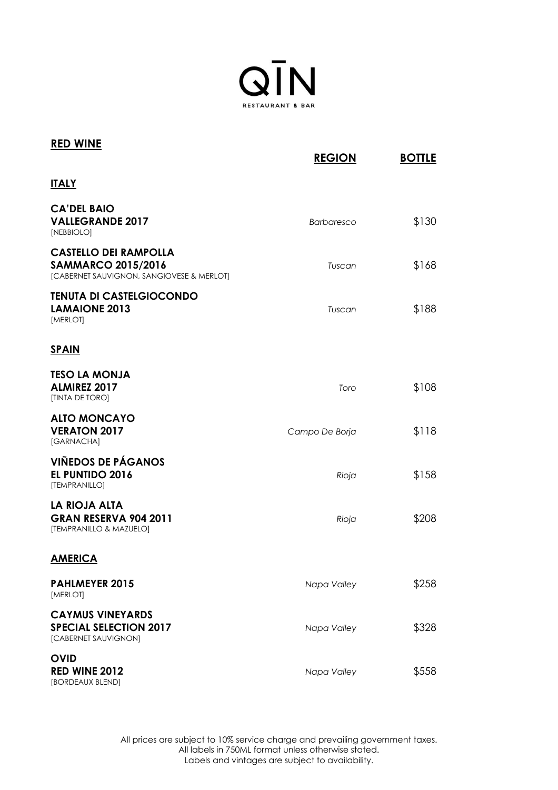

| <b>RED WINE</b>                                                                                        | <b>REGION</b>  | <b>BOTTLE</b> |
|--------------------------------------------------------------------------------------------------------|----------------|---------------|
| <b>ITALY</b>                                                                                           |                |               |
| <b>CA'DEL BAIO</b><br><b>VALLEGRANDE 2017</b><br>[NEBBIOLO]                                            | Barbaresco     | \$130         |
| <b>CASTELLO DEI RAMPOLLA</b><br><b>SAMMARCO 2015/2016</b><br>[CABERNET SAUVIGNON, SANGIOVESE & MERLOT] | Tuscan         | \$168         |
| <b>TENUTA DI CASTELGIOCONDO</b><br><b>LAMAIONE 2013</b><br>[MERLOT]                                    | Tuscan         | \$188         |
| <b>SPAIN</b>                                                                                           |                |               |
| <b>TESO LA MONJA</b><br><b>ALMIREZ 2017</b><br>[TINTA DE TORO]                                         | Toro           | \$108         |
| <b>ALTO MONCAYO</b><br><b>VERATON 2017</b><br>[GARNACHA]                                               | Campo De Borja | \$118         |
| <b>VIÑEDOS DE PÁGANOS</b><br><b>EL PUNTIDO 2016</b><br>[TEMPRANILLO]                                   | Rioja          | \$158         |
| LA RIOJA ALTA<br><b>GRAN RESERVA 904 2011</b><br>[TEMPRANILLO & MAZUELO]                               | Rioja          | \$208         |
| <b>AMERICA</b>                                                                                         |                |               |
| <b>PAHLMEYER 2015</b><br>[MERLOT]                                                                      | Napa Valley    | \$258         |
| <b>CAYMUS VINEYARDS</b><br><b>SPECIAL SELECTION 2017</b><br>[CABERNET SAUVIGNON]                       | Napa Valley    | \$328         |
| <b>OVID</b><br>RED WINE 2012<br>[BORDEAUX BLEND]                                                       | Napa Valley    | \$558         |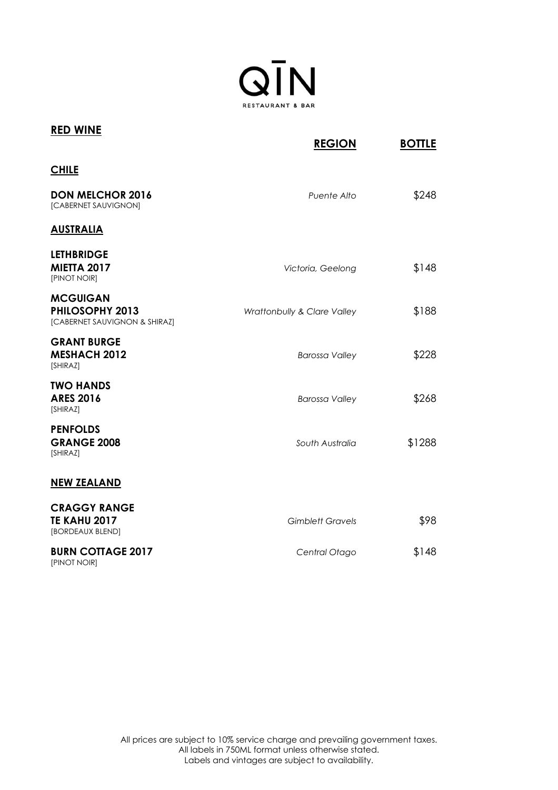

| <b>RED WINE</b>                                                     | <b>REGION</b>               | <b>BOTTLE</b> |
|---------------------------------------------------------------------|-----------------------------|---------------|
| <b>CHILE</b>                                                        |                             |               |
| <b>DON MELCHOR 2016</b><br>[CABERNET SAUVIGNON]                     | Puente Alto                 | \$248         |
| <b>AUSTRALIA</b>                                                    |                             |               |
| <b>LETHBRIDGE</b><br><b>MIETTA 2017</b><br>[PINOT NOIR]             | Victoria, Geelong           | \$148         |
| <b>MCGUIGAN</b><br>PHILOSOPHY 2013<br>[CABERNET SAUVIGNON & SHIRAZ] | Wrattonbully & Clare Valley | \$188         |
| <b>GRANT BURGE</b><br><b>MESHACH 2012</b><br>[SHIRAZ]               | <b>Barossa Valley</b>       | \$228         |
| <b>TWO HANDS</b><br><b>ARES 2016</b><br>[SHIRAZ]                    | <b>Barossa Valley</b>       | \$268         |
| <b>PENFOLDS</b><br><b>GRANGE 2008</b><br>[SHIRAZ]                   | South Australia             | \$1288        |
| <b>NEW ZEALAND</b>                                                  |                             |               |
| <b>CRAGGY RANGE</b><br><b>TE KAHU 2017</b><br>[BORDEAUX BLEND]      | <b>Gimblett Gravels</b>     | \$98          |
| <b>BURN COTTAGE 2017</b><br>[PINOT NOIR]                            | Central Otago               | \$148         |